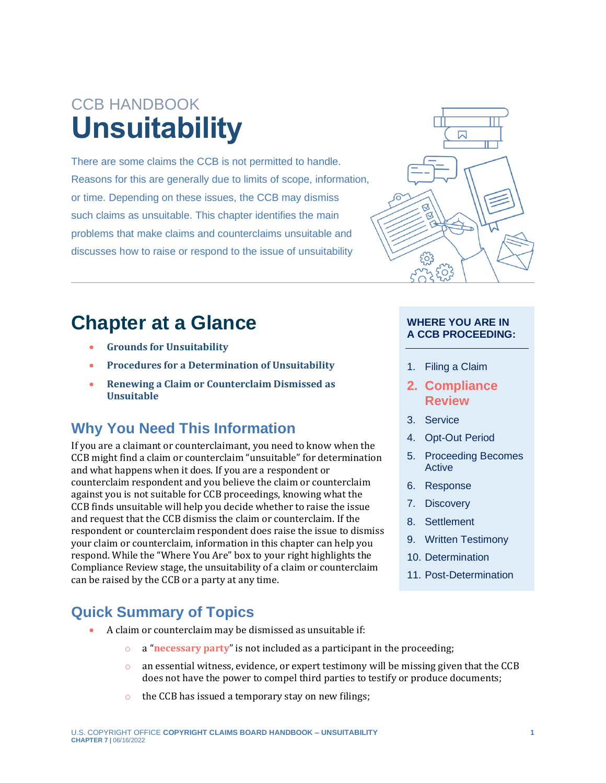# CCB HANDBOOK **Unsuitability**

There are some claims the CCB is not permitted to handle. Reasons for this are generally due to limits of scope, information, or time. Depending on these issues, the CCB may dismiss such claims as unsuitable. This chapter identifies the main problems that make claims and counterclaims unsuitable and discusses how to raise or respond to the issue of unsuitability

## **Chapter at a Glance**

- **[Grounds for Unsuitability](#page-1-0)**
- **[Procedures for a Determination of Unsuitability](#page-3-0)**
- **[Renewing a Claim or Counterclaim Dismissed as](#page-4-0)  [Unsuitable](#page-4-0)**

### **Why You Need This Information**

If you are a claimant or counterclaimant, you need to know when the CCB might find a claim or counterclaim "unsuitable" for determination and what happens when it does. If you are a respondent or counterclaim respondent and you believe the claim or counterclaim against you is not suitable for CCB proceedings, knowing what the CCB finds unsuitable will help you decide whether to raise the issue and request that the CCB dismiss the claim or counterclaim. If the respondent or counterclaim respondent does raise the issue to dismiss your claim or counterclaim, information in this chapter can help you respond. While the "Where You Are" box to your right highlights the Compliance Review stage, the unsuitability of a claim or counterclaim can be raised by the CCB or a party at any time.

#### **Quick Summary of Topics**

- <span id="page-0-0"></span>• A claim or counterclaim may be dismissed as unsuitable if:
	- o a "**[necessary party](#page-5-0)**" is not included as a participant in the proceeding;
	- $\circ$  an essential witness, evidence, or expert testimony will be missing given that the CCB does not have the power to compel third parties to testify or produce documents;
	- $\circ$  the CCB has issued a temporary stay on new filings;



#### **WHERE YOU ARE IN A CCB PROCEEDING:**

- 1. Filing a Claim
- **2. Compliance Review**
- 3. Service
- 4. Opt-Out Period
- 5. Proceeding Becomes Active
- 6. Response
- 7. Discovery
- 8. Settlement
- 9. Written Testimony
- 10. Determination
- 11. Post-Determination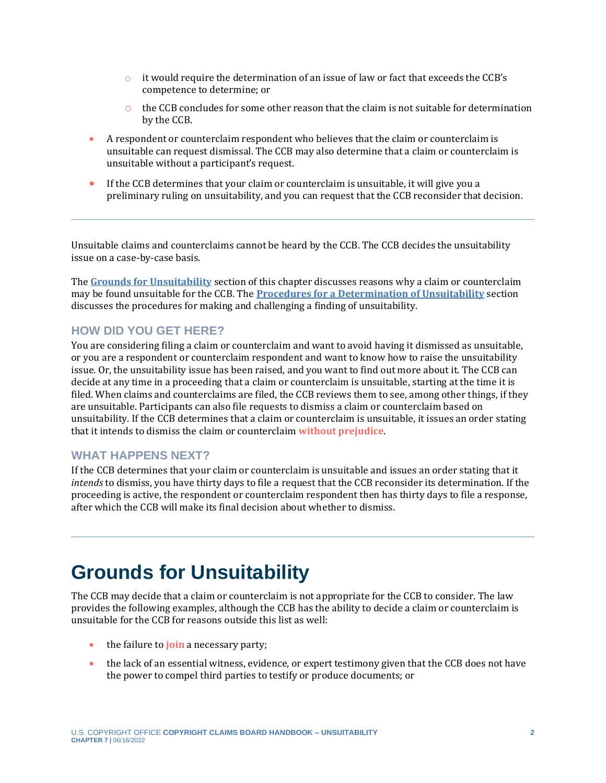- $\circ$  it would require the determination of an issue of law or fact that exceeds the CCB's competence to determine; or
- $\circ$  the CCB concludes for some other reason that the claim is not suitable for determination by the CCB.
- A respondent or counterclaim respondent who believes that the claim or counterclaim is unsuitable can request dismissal. The CCB may also determine that a claim or counterclaim is unsuitable without a participant's request.
- If the CCB determines that your claim or counterclaim is unsuitable, it will give you a preliminary ruling on unsuitability, and you can request that the CCB reconsider that decision.

Unsuitable claims and counterclaims cannot be heard by the CCB. The CCB decides the unsuitability issue on a case-by-case basis.

The **[Grounds for Unsuitability](#page-1-1)** section of this chapter discusses reasons why a claim or counterclaim may be found unsuitable for the CCB. The **[Procedures for a Determination of Unsuitability](#page-3-0)** section discusses the procedures for making and challenging a finding of unsuitability.

#### **HOW DID YOU GET HERE?**

You are considering filing a claim or counterclaim and want to avoid having it dismissed as unsuitable, or you are a respondent or counterclaim respondent and want to know how to raise the unsuitability issue. Or, the unsuitability issue has been raised, and you want to find out more about it. The CCB can decide at any time in a proceeding that a claim or counterclaim is unsuitable, starting at the time it is filed. When claims and counterclaims are filed, the CCB reviews them to see, among other things, if they are unsuitable. Participants can also file requests to dismiss a claim or counterclaim based on unsuitability. If the CCB determines that a claim or counterclaim is unsuitable, it issues an order stating that it intends to dismiss the claim or counterclaim **[without prejudice](#page-5-0)**.

#### <span id="page-1-3"></span>**WHAT HAPPENS NEXT?**

If the CCB determines that your claim or counterclaim is unsuitable and issues an order stating that it *intends* to dismiss, you have thirty days to file a request that the CCB reconsider its determination. If the proceeding is active, the respondent or counterclaim respondent then has thirty days to file a response, after which the CCB will make its final decision about whether to dismiss.

## <span id="page-1-1"></span><span id="page-1-0"></span>**Grounds for Unsuitability**

The CCB may decide that a claim or counterclaim is not appropriate for the CCB to consider. The law provides the following examples, although the CCB has the ability to decide a claim or counterclaim is unsuitable for the CCB for reasons outside this list as well:

- <span id="page-1-2"></span>• the failure to **[join](#page-5-0)** a necessary party;
- the lack of an essential witness, evidence, or expert testimony given that the CCB does not have the power to compel third parties to testify or produce documents; or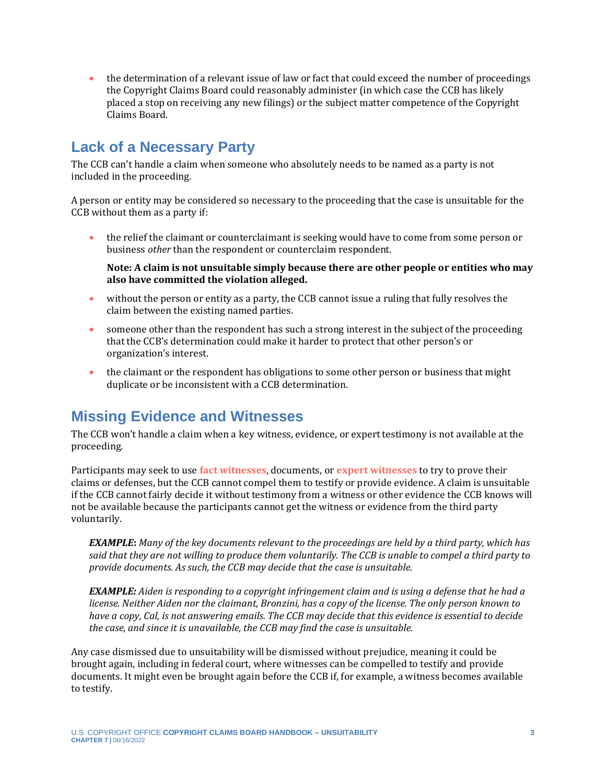• the determination of a relevant issue of law or fact that could exceed the number of proceedings the Copyright Claims Board could reasonably administer (in which case the CCB has likely placed a stop on receiving any new filings) or the subject matter competence of the Copyright Claims Board.

#### **Lack of a Necessary Party**

The CCB can't handle a claim when someone who absolutely needs to be named as a party is not included in the proceeding.

A person or entity may be considered so necessary to the proceeding that the case is unsuitable for the CCB without them as a party if:

• the relief the claimant or counterclaimant is seeking would have to come from some person or business *other* than the respondent or counterclaim respondent.

**Note: A claim is not unsuitable simply because there are other people or entities who may also have committed the violation alleged.**

- without the person or entity as a party, the CCB cannot issue a ruling that fully resolves the claim between the existing named parties.
- someone other than the respondent has such a strong interest in the subject of the proceeding that the CCB's determination could make it harder to protect that other person's or organization's interest.
- the claimant or the respondent has obligations to some other person or business that might duplicate or be inconsistent with a CCB determination.

### **Missing Evidence and Witnesses**

The CCB won't handle a claim when a key witness, evidence, or expert testimony is not available at the proceeding.

<span id="page-2-1"></span>Participants may seek to use **[fact witnesses](#page-5-0)**, documents, or **[expert witnesses](#page-5-0)** to try to prove their claims or defenses, but the CCB cannot compel them to testify or provide evidence. A claim is unsuitable if the CCB cannot fairly decide it without testimony from a witness or other evidence the CCB knows will not be available because the participants cannot get the witness or evidence from the third party voluntarily.

<span id="page-2-0"></span>*EXAMPLE***:** *Many of the key documents relevant to the proceedings are held by a third party, which has said that they are not willing to produce them voluntarily. The CCB is unable to compel a third party to provide documents. As such, the CCB may decide that the case is unsuitable.* 

*EXAMPLE: Aiden is responding to a copyright infringement claim and is using a defense that he had a license. Neither Aiden nor the claimant, Bronzini, has a copy of the license. The only person known to have a copy, Cal, is not answering emails. The CCB may decide that this evidence is essential to decide the case, and since it is unavailable, the CCB may find the case is unsuitable.*

Any case dismissed due to unsuitability will be dismissed without prejudice, meaning it could be brought again, including in federal court, where witnesses can be compelled to testify and provide documents. It might even be brought again before the CCB if, for example, a witness becomes available to testify.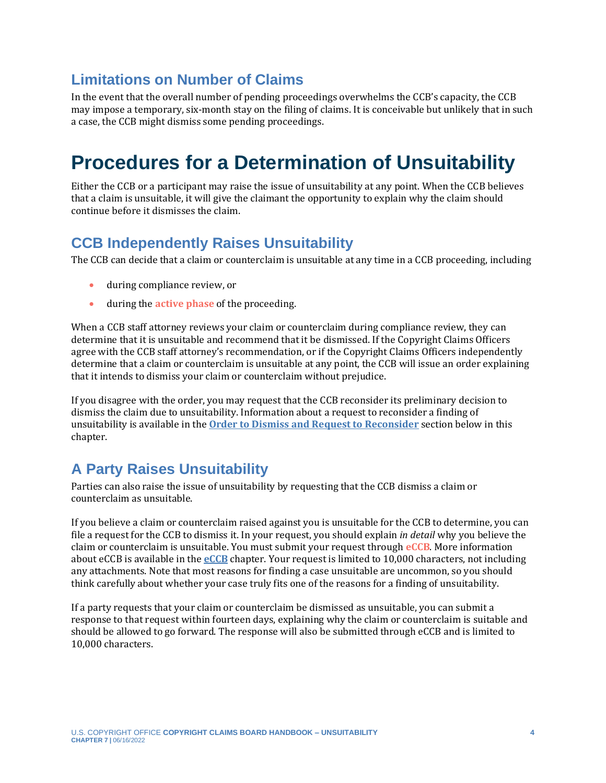### **Limitations on Number of Claims**

In the event that the overall number of pending proceedings overwhelms the CCB's capacity, the CCB may impose a temporary, six-month stay on the filing of claims. It is conceivable but unlikely that in such a case, the CCB might dismiss some pending proceedings.

## <span id="page-3-0"></span>**Procedures for a Determination of Unsuitability**

Either the CCB or a participant may raise the issue of unsuitability at any point. When the CCB believes that a claim is unsuitable, it will give the claimant the opportunity to explain why the claim should continue before it dismisses the claim.

### **CCB Independently Raises Unsuitability**

The CCB can decide that a claim or counterclaim is unsuitable at any time in a CCB proceeding, including

- during compliance review, or
- <span id="page-3-2"></span>• during the **[active phase](#page-5-0)** of the proceeding.

When a CCB staff attorney reviews your claim or counterclaim during compliance review, they can determine that it is unsuitable and recommend that it be dismissed. If the Copyright Claims Officers agree with the CCB staff attorney's recommendation, or if the Copyright Claims Officers independently determine that a claim or counterclaim is unsuitable at any point, the CCB will issue an order explaining that it intends to dismiss your claim or counterclaim without prejudice.

If you disagree with the order, you may request that the CCB reconsider its preliminary decision to dismiss the claim due to unsuitability. Information about a request to reconsider a finding of unsuitability is available in the **[Order to Dismiss and Request to Reconsider](#page-3-1)** section below in this chapter.

### **A Party Raises Unsuitability**

Parties can also raise the issue of unsuitability by requesting that the CCB dismiss a claim or counterclaim as unsuitable.

<span id="page-3-3"></span>If you believe a claim or counterclaim raised against you is unsuitable for the CCB to determine, you can file a request for the CCB to dismiss it. In your request, you should explain *in detail* why you believe the claim or counterclaim is unsuitable. You must submit your request through **[eCCB](#page-5-0)**. More information about eCCB is available in the **[eCCB](https://ccb.gov/handbook/eCCB.pdf)** chapter. Your request is limited to 10,000 characters, not including any attachments. Note that most reasons for finding a case unsuitable are uncommon, so you should think carefully about whether your case truly fits one of the reasons for a finding of unsuitability.

<span id="page-3-1"></span>If a party requests that your claim or counterclaim be dismissed as unsuitable, you can submit a response to that request within fourteen days, explaining why the claim or counterclaim is suitable and should be allowed to go forward. The response will also be submitted through eCCB and is limited to 10,000 characters.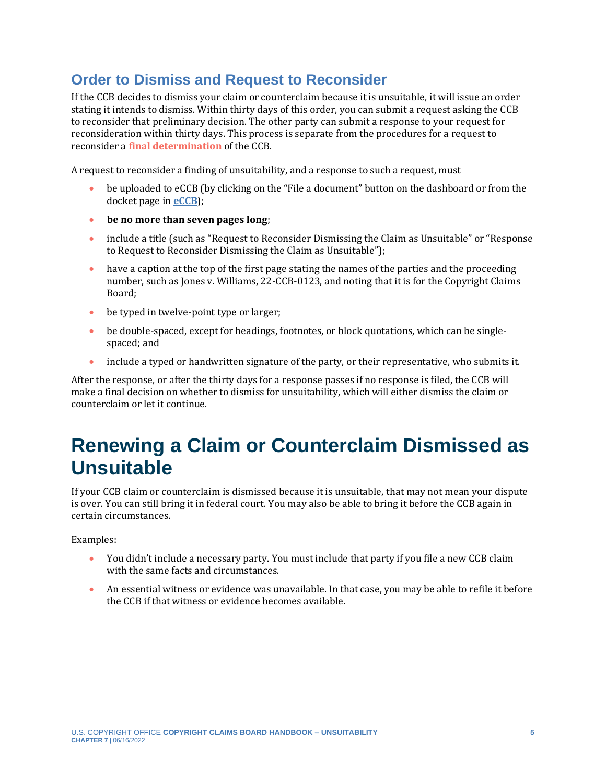### **Order to Dismiss and Request to Reconsider**

If the CCB decides to dismiss your claim or counterclaim because it is unsuitable, it will issue an order stating it intends to dismiss. Within thirty days of this order, you can submit a request asking the CCB to reconsider that preliminary decision. The other party can submit a response to your request for reconsideration within thirty days. This process is separate from the procedures for a request to reconsider a **[final determination](#page-5-0)** of the CCB.

A request to reconsider a finding of unsuitability, and a response to such a request, must

- <span id="page-4-1"></span>• be uploaded to eCCB (by clicking on the "File a document" button on the dashboard or from the docket page in **[eCCB](https://dockets.ccb.gov/)**);
- **be no more than seven pages long**;
- include a title (such as "Request to Reconsider Dismissing the Claim as Unsuitable" or "Response" to Request to Reconsider Dismissing the Claim as Unsuitable");
- have a caption at the top of the first page stating the names of the parties and the proceeding number, such as Jones v. Williams, 22-CCB-0123, and noting that it is for the Copyright Claims Board;
- be typed in twelve-point type or larger;
- be double-spaced, except for headings, footnotes, or block quotations, which can be singlespaced; and
- include a typed or handwritten signature of the party, or their representative, who submits it.

After the response, or after the thirty days for a response passes if no response is filed, the CCB will make a final decision on whether to dismiss for unsuitability, which will either dismiss the claim or counterclaim or let it continue.

## <span id="page-4-0"></span>**Renewing a Claim or Counterclaim Dismissed as Unsuitable**

If your CCB claim or counterclaim is dismissed because it is unsuitable, that may not mean your dispute is over. You can still bring it in federal court. You may also be able to bring it before the CCB again in certain circumstances.

Examples:

- You didn't include a necessary party. You must include that party if you file a new CCB claim with the same facts and circumstances.
- An essential witness or evidence was unavailable. In that case, you may be able to refile it before the CCB if that witness or evidence becomes available.